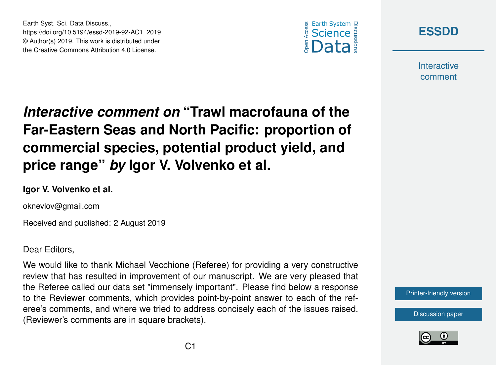



**Interactive** comment

## *Interactive comment on* **"Trawl macrofauna of the Far-Eastern Seas and North Pacific: proportion of commercial species, potential product yield, and price range"** *by* **Igor V. Volvenko et al.**

## **Igor V. Volvenko et al.**

Earth Syst. Sci. Data Discuss.,

https://doi.org/10.5194/essd-2019-92-AC1, 2019 © Author(s) 2019. This work is distributed under the Creative Commons Attribution 4.0 License.

oknevlov@gmail.com

Received and published: 2 August 2019

Dear Editors,

We would like to thank Michael Vecchione (Referee) for providing a very constructive review that has resulted in improvement of our manuscript. We are very pleased that the Referee called our data set "immensely important". Please find below a response to the Reviewer comments, which provides point-by-point answer to each of the referee's comments, and where we tried to address concisely each of the issues raised. (Reviewer's comments are in square brackets).



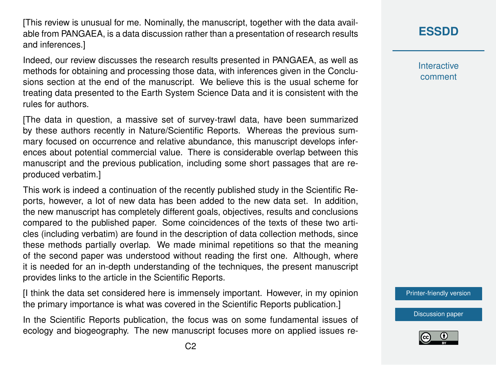[This review is unusual for me. Nominally, the manuscript, together with the data available from PANGAEA, is a data discussion rather than a presentation of research results and inferences.]

Indeed, our review discusses the research results presented in PANGAEA, as well as methods for obtaining and processing those data, with inferences given in the Conclusions section at the end of the manuscript. We believe this is the usual scheme for treating data presented to the Earth System Science Data and it is consistent with the rules for authors.

[The data in question, a massive set of survey-trawl data, have been summarized by these authors recently in Nature/Scientific Reports. Whereas the previous summary focused on occurrence and relative abundance, this manuscript develops inferences about potential commercial value. There is considerable overlap between this manuscript and the previous publication, including some short passages that are reproduced verbatim.]

This work is indeed a continuation of the recently published study in the Scientific Reports, however, a lot of new data has been added to the new data set. In addition, the new manuscript has completely different goals, objectives, results and conclusions compared to the published paper. Some coincidences of the texts of these two articles (including verbatim) are found in the description of data collection methods, since these methods partially overlap. We made minimal repetitions so that the meaning of the second paper was understood without reading the first one. Although, where it is needed for an in-depth understanding of the techniques, the present manuscript provides links to the article in the Scientific Reports.

[I think the data set considered here is immensely important. However, in my opinion the primary importance is what was covered in the Scientific Reports publication.]

In the Scientific Reports publication, the focus was on some fundamental issues of ecology and biogeography. The new manuscript focuses more on applied issues re**[ESSDD](https://www.earth-syst-sci-data-discuss.net/)**

**Interactive** comment

[Printer-friendly version](https://www.earth-syst-sci-data-discuss.net/essd-2019-92/essd-2019-92-AC1-print.pdf)

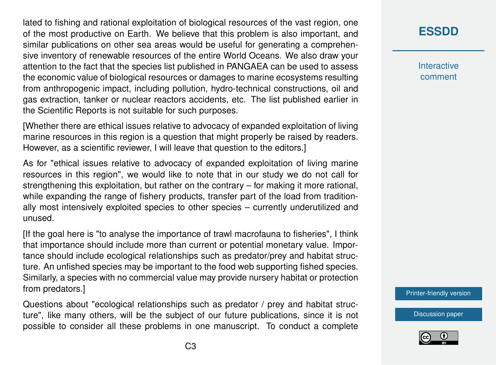lated to fishing and rational exploitation of biological resources of the vast region, one of the most productive on Earth. We believe that this problem is also important, and similar publications on other sea areas would be useful for generating a comprehensive inventory of renewable resources of the entire World Oceans. We also draw your attention to the fact that the species list published in PANGAEA can be used to assess the economic value of biological resources or damages to marine ecosystems resulting from anthropogenic impact, including pollution, hydro-technical constructions, oil and gas extraction, tanker or nuclear reactors accidents, etc. The list published earlier in the Scientific Reports is not suitable for such purposes.

[Whether there are ethical issues relative to advocacy of expanded exploitation of living marine resources in this region is a question that might properly be raised by readers. However, as a scientific reviewer, I will leave that question to the editors.]

As for "ethical issues relative to advocacy of expanded exploitation of living marine resources in this region", we would like to note that in our study we do not call for strengthening this exploitation, but rather on the contrary – for making it more rational, while expanding the range of fishery products, transfer part of the load from traditionally most intensively exploited species to other species – currently underutilized and unused.

[If the goal here is "to analyse the importance of trawl macrofauna to fisheries", I think that importance should include more than current or potential monetary value. Importance should include ecological relationships such as predator/prey and habitat structure. An unfished species may be important to the food web supporting fished species. Similarly, a species with no commercial value may provide nursery habitat or protection from predators.]

Questions about "ecological relationships such as predator / prey and habitat structure", like many others, will be the subject of our future publications, since it is not possible to consider all these problems in one manuscript. To conduct a complete

## **[ESSDD](https://www.earth-syst-sci-data-discuss.net/)**

**Interactive** comment

[Printer-friendly version](https://www.earth-syst-sci-data-discuss.net/essd-2019-92/essd-2019-92-AC1-print.pdf)